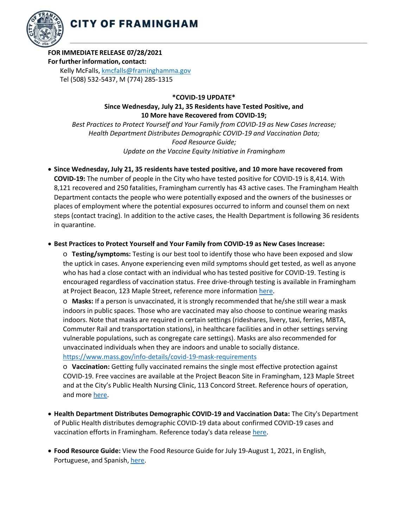

## **FOR IMMEDIATE RELEASE 07/28/2021**

## **Forfurtherinformation, contact:**

Kelly McFalls[, kmcfalls@framinghamma.gov](mailto:kmcfalls@framinghamma.gov) Tel (508) 532-5437, M (774) 285-1315

**\*COVID-19 UPDATE\***

**Since Wednesday, July 21, 35 Residents have Tested Positive, and 10 More have Recovered from COVID-19;**

*Best Practices to Protect Yourself and Your Family from COVID-19 as New Cases Increase; Health Department Distributes Demographic COVID-19 and Vaccination Data; Food Resource Guide; Update on the Vaccine Equity Initiative in Framingham*

## • **Since Wednesday, July 21, 35 residents have tested positive, and 10 more have recovered from**

**COVID-19:** The number of people in the City who have tested positive for COVID-19 is 8,414. With 8,121 recovered and 250 fatalities, Framingham currently has 43 active cases. The Framingham Health Department contacts the people who were potentially exposed and the owners of the businesses or places of employment where the potential exposures occurred to inform and counsel them on next steps (contact tracing). In addition to the active cases, the Health Department is following 36 residents in quarantine.

## • **Best Practices to Protect Yourself and Your Family from COVID-19 as New Cases Increase:**

o **Testing/symptoms:** Testing is our best tool to identify those who have been exposed and slow the uptick in cases. Anyone experiencing even mild symptoms should get tested, as well as anyone who has had a close contact with an individual who has tested positive for COVID-19. Testing is encouraged regardless of vaccination status. Free drive-through testing is available in Framingham at Project Beacon, 123 Maple Street, reference more information [here.](https://www.framinghamma.gov/2952/COVID-19-Testing-Information)

o **Masks:** If a person is unvaccinated, it is strongly recommended that he/she still wear a mask indoors in public spaces. Those who are vaccinated may also choose to continue wearing masks indoors. Note that masks are required in certain settings (rideshares, livery, taxi, ferries, MBTA, Commuter Rail and transportation stations), in healthcare facilities and in other settings serving vulnerable populations, such as congregate care settings). Masks are also recommended for unvaccinated individuals when they are indoors and unable to socially distance.

<https://www.mass.gov/info-details/covid-19-mask-requirements>

o **Vaccination:** Getting fully vaccinated remains the single most effective protection against COVID-19. Free vaccines are available at the Project Beacon Site in Framingham, 123 Maple Street and at the City's Public Health Nursing Clinic, 113 Concord Street. Reference hours of operation, and more [here.](https://www.framinghamma.gov/3214/COVID-19-Vaccine-Information)

- **Health Department Distributes Demographic COVID-19 and Vaccination Data:** The City's Department of Public Health distributes demographic COVID-19 data about confirmed COVID-19 cases and vaccination efforts in Framingham. Reference today's data release [here](https://www.framinghamma.gov/DocumentCenter/View/42788/COVID-19-Data-072821-FINAL)[.](https://www.framinghamma.gov/DocumentCenter/View/42366/COVID-19-Data-060921-FINAL)
- **Food Resource Guide:** View the Food Resource Guide for July 19-August 1, 2021, in English, Portuguese, and Spanish, [here](https://www.framinghamma.gov/DocumentCenter/View/42464/Food-Information-PDF-ESP)[.](https://www.framinghamma.gov/3023/Access-Food)